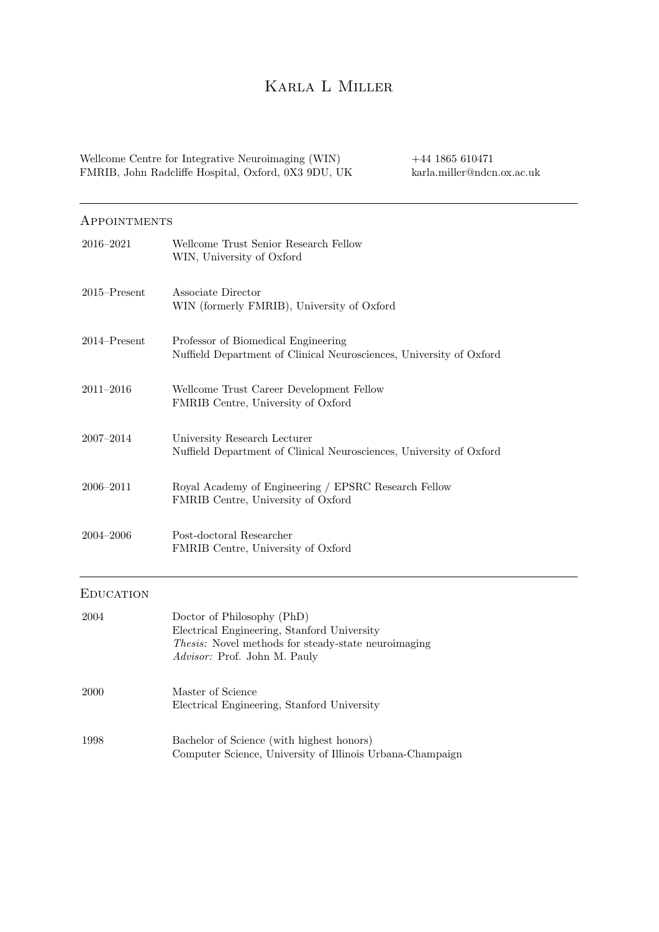# Karla L Miller

Wellcome Centre for Integrative Neuroimaging (WIN)  $+44$  1865 610471 FMRIB, John Radcliffe Hospital, Oxford, 0X3 9DU, UK karla.miller@ndcn.ox.ac.uk

# **APPOINTMENTS** 2016–2021 Wellcome Trust Senior Research Fellow WIN, University of Oxford 2015–Present Associate Director WIN (formerly FMRIB), University of Oxford 2014–Present Professor of Biomedical Engineering Nuffield Department of Clinical Neurosciences, University of Oxford 2011–2016 Wellcome Trust Career Development Fellow FMRIB Centre, University of Oxford 2007–2014 University Research Lecturer Nuffield Department of Clinical Neurosciences, University of Oxford 2006–2011 Royal Academy of Engineering / EPSRC Research Fellow FMRIB Centre, University of Oxford 2004–2006 Post-doctoral Researcher FMRIB Centre, University of Oxford **EDUCATION** 2004 Doctor of Philosophy (PhD) Electrical Engineering, Stanford University Thesis: Novel methods for steady-state neuroimaging Advisor: Prof. John M. Pauly 2000 Master of Science Electrical Engineering, Stanford University 1998 Bachelor of Science (with highest honors) Computer Science, University of Illinois Urbana-Champaign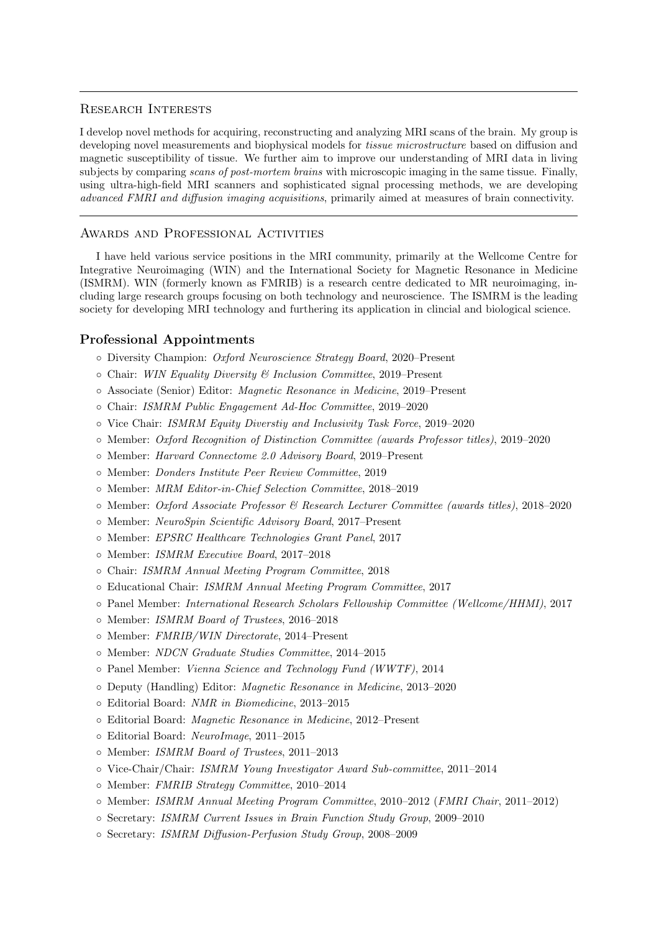#### Research Interests

I develop novel methods for acquiring, reconstructing and analyzing MRI scans of the brain. My group is developing novel measurements and biophysical models for *tissue microstructure* based on diffusion and magnetic susceptibility of tissue. We further aim to improve our understanding of MRI data in living subjects by comparing *scans of post-mortem brains* with microscopic imaging in the same tissue. Finally, using ultra-high-field MRI scanners and sophisticated signal processing methods, we are developing advanced FMRI and diffusion imaging acquisitions, primarily aimed at measures of brain connectivity.

#### AWARDS AND PROFESSIONAL ACTIVITIES

I have held various service positions in the MRI community, primarily at the Wellcome Centre for Integrative Neuroimaging (WIN) and the International Society for Magnetic Resonance in Medicine (ISMRM). WIN (formerly known as FMRIB) is a research centre dedicated to MR neuroimaging, including large research groups focusing on both technology and neuroscience. The ISMRM is the leading society for developing MRI technology and furthering its application in clincial and biological science.

#### Professional Appointments

- Diversity Champion: Oxford Neuroscience Strategy Board, 2020–Present
- Chair: WIN Equality Diversity & Inclusion Committee, 2019–Present
- Associate (Senior) Editor: Magnetic Resonance in Medicine, 2019–Present
- Chair: ISMRM Public Engagement Ad-Hoc Committee, 2019–2020
- Vice Chair: ISMRM Equity Diverstiy and Inclusivity Task Force, 2019–2020
- Member: Oxford Recognition of Distinction Committee (awards Professor titles), 2019–2020
- Member: Harvard Connectome 2.0 Advisory Board, 2019–Present
- Member: Donders Institute Peer Review Committee, 2019
- Member: MRM Editor-in-Chief Selection Committee, 2018–2019
- Member: Oxford Associate Professor & Research Lecturer Committee (awards titles), 2018–2020
- Member: NeuroSpin Scientific Advisory Board, 2017–Present
- Member: EPSRC Healthcare Technologies Grant Panel, 2017
- Member: ISMRM Executive Board, 2017–2018
- Chair: ISMRM Annual Meeting Program Committee, 2018
- Educational Chair: ISMRM Annual Meeting Program Committee, 2017
- Panel Member: International Research Scholars Fellowship Committee (Wellcome/HHMI), 2017
- Member: ISMRM Board of Trustees, 2016–2018
- Member: FMRIB/WIN Directorate, 2014–Present
- Member: NDCN Graduate Studies Committee, 2014–2015
- Panel Member: Vienna Science and Technology Fund (WWTF), 2014
- Deputy (Handling) Editor: Magnetic Resonance in Medicine, 2013–2020
- Editorial Board: NMR in Biomedicine, 2013–2015
- Editorial Board: Magnetic Resonance in Medicine, 2012–Present
- Editorial Board: NeuroImage, 2011–2015
- Member: ISMRM Board of Trustees, 2011–2013
- Vice-Chair/Chair: ISMRM Young Investigator Award Sub-committee, 2011–2014
- Member: FMRIB Strategy Committee, 2010–2014
- Member: ISMRM Annual Meeting Program Committee, 2010–2012 (FMRI Chair, 2011–2012)
- Secretary: ISMRM Current Issues in Brain Function Study Group, 2009–2010
- Secretary: ISMRM Diffusion-Perfusion Study Group, 2008–2009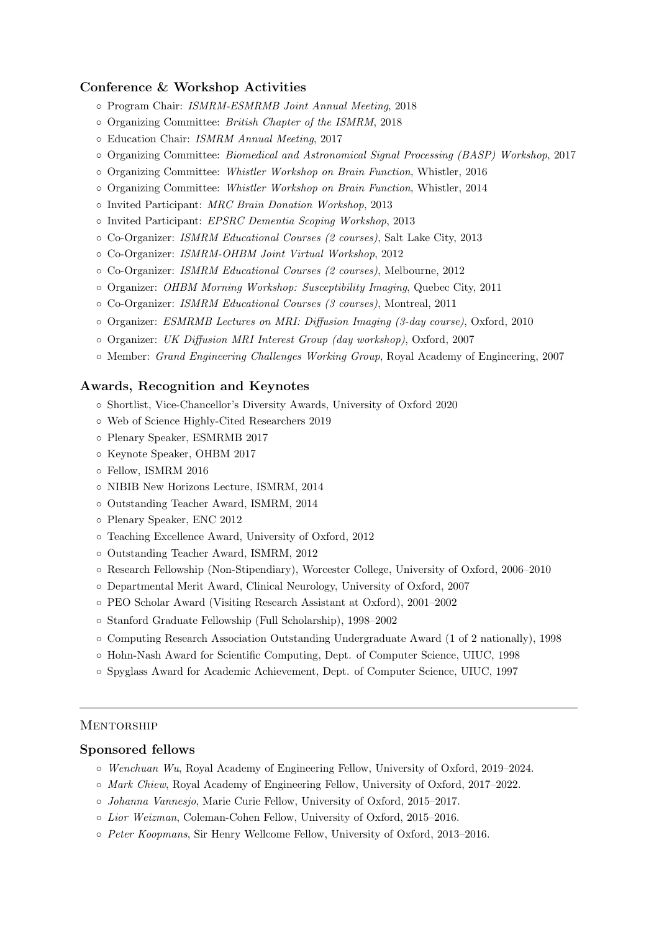#### Conference & Workshop Activities

- Program Chair: ISMRM-ESMRMB Joint Annual Meeting, 2018
- Organizing Committee: British Chapter of the ISMRM, 2018
- Education Chair: ISMRM Annual Meeting, 2017
- Organizing Committee: Biomedical and Astronomical Signal Processing (BASP) Workshop, 2017
- Organizing Committee: Whistler Workshop on Brain Function, Whistler, 2016
- Organizing Committee: Whistler Workshop on Brain Function, Whistler, 2014
- Invited Participant: MRC Brain Donation Workshop, 2013
- Invited Participant: EPSRC Dementia Scoping Workshop, 2013
- Co-Organizer: ISMRM Educational Courses (2 courses), Salt Lake City, 2013
- Co-Organizer: ISMRM-OHBM Joint Virtual Workshop, 2012
- Co-Organizer: ISMRM Educational Courses (2 courses), Melbourne, 2012
- Organizer: OHBM Morning Workshop: Susceptibility Imaging, Quebec City, 2011
- Co-Organizer: ISMRM Educational Courses (3 courses), Montreal, 2011
- Organizer: ESMRMB Lectures on MRI: Diffusion Imaging (3-day course), Oxford, 2010
- Organizer: UK Diffusion MRI Interest Group (day workshop), Oxford, 2007
- Member: Grand Engineering Challenges Working Group, Royal Academy of Engineering, 2007

#### Awards, Recognition and Keynotes

- Shortlist, Vice-Chancellor's Diversity Awards, University of Oxford 2020
- Web of Science Highly-Cited Researchers 2019
- Plenary Speaker, ESMRMB 2017
- Keynote Speaker, OHBM 2017
- Fellow, ISMRM 2016
- NIBIB New Horizons Lecture, ISMRM, 2014
- Outstanding Teacher Award, ISMRM, 2014
- Plenary Speaker, ENC 2012
- Teaching Excellence Award, University of Oxford, 2012
- Outstanding Teacher Award, ISMRM, 2012
- Research Fellowship (Non-Stipendiary), Worcester College, University of Oxford, 2006–2010
- Departmental Merit Award, Clinical Neurology, University of Oxford, 2007
- PEO Scholar Award (Visiting Research Assistant at Oxford), 2001–2002
- Stanford Graduate Fellowship (Full Scholarship), 1998–2002
- Computing Research Association Outstanding Undergraduate Award (1 of 2 nationally), 1998
- Hohn-Nash Award for Scientific Computing, Dept. of Computer Science, UIUC, 1998
- Spyglass Award for Academic Achievement, Dept. of Computer Science, UIUC, 1997

#### **MENTORSHIP**

#### Sponsored fellows

- Wenchuan Wu, Royal Academy of Engineering Fellow, University of Oxford, 2019–2024.
- Mark Chiew, Royal Academy of Engineering Fellow, University of Oxford, 2017–2022.
- Johanna Vannesjo, Marie Curie Fellow, University of Oxford, 2015–2017.
- Lior Weizman, Coleman-Cohen Fellow, University of Oxford, 2015–2016.
- Peter Koopmans, Sir Henry Wellcome Fellow, University of Oxford, 2013–2016.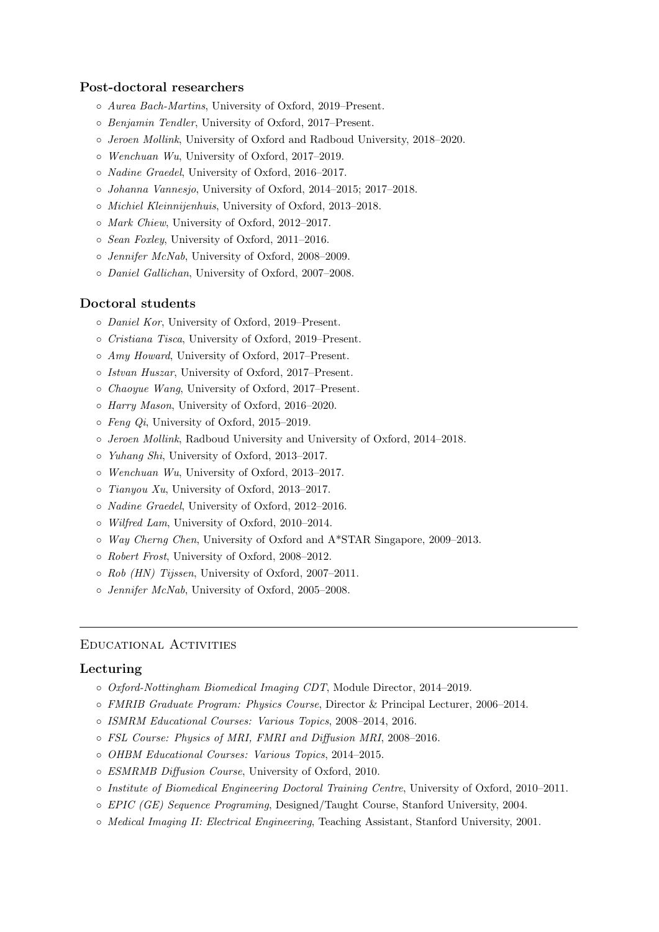#### Post-doctoral researchers

- Aurea Bach-Martins, University of Oxford, 2019–Present.
- Benjamin Tendler, University of Oxford, 2017–Present.
- Jeroen Mollink, University of Oxford and Radboud University, 2018–2020.
- Wenchuan Wu, University of Oxford, 2017–2019.
- Nadine Graedel, University of Oxford, 2016–2017.
- Johanna Vannesjo, University of Oxford, 2014–2015; 2017–2018.
- Michiel Kleinnijenhuis, University of Oxford, 2013–2018.
- Mark Chiew, University of Oxford, 2012–2017.
- Sean Foxley, University of Oxford, 2011–2016.
- Jennifer McNab, University of Oxford, 2008–2009.
- Daniel Gallichan, University of Oxford, 2007–2008.

#### Doctoral students

- Daniel Kor, University of Oxford, 2019–Present.
- Cristiana Tisca, University of Oxford, 2019–Present.
- Amy Howard, University of Oxford, 2017–Present.
- Istvan Huszar, University of Oxford, 2017–Present.
- Chaoyue Wang, University of Oxford, 2017–Present.
- Harry Mason, University of Oxford, 2016–2020.
- $\circ$  Feng Qi, University of Oxford, 2015–2019.
- Jeroen Mollink, Radboud University and University of Oxford, 2014–2018.
- Yuhang Shi, University of Oxford, 2013–2017.
- Wenchuan Wu, University of Oxford, 2013–2017.
- Tianyou Xu, University of Oxford, 2013–2017.
- Nadine Graedel, University of Oxford, 2012–2016.
- Wilfred Lam, University of Oxford, 2010–2014.
- Way Cherng Chen, University of Oxford and A\*STAR Singapore, 2009–2013.
- Robert Frost, University of Oxford, 2008–2012.
- $\circ$  Rob (HN) Tijssen, University of Oxford, 2007–2011.
- Jennifer McNab, University of Oxford, 2005–2008.

#### Educational Activities

#### Lecturing

- Oxford-Nottingham Biomedical Imaging CDT, Module Director, 2014–2019.
- FMRIB Graduate Program: Physics Course, Director & Principal Lecturer, 2006–2014.
- ISMRM Educational Courses: Various Topics, 2008–2014, 2016.
- FSL Course: Physics of MRI, FMRI and Diffusion MRI, 2008–2016.
- OHBM Educational Courses: Various Topics, 2014–2015.
- ESMRMB Diffusion Course, University of Oxford, 2010.
- Institute of Biomedical Engineering Doctoral Training Centre, University of Oxford, 2010–2011.
- EPIC (GE) Sequence Programing, Designed/Taught Course, Stanford University, 2004.
- Medical Imaging II: Electrical Engineering, Teaching Assistant, Stanford University, 2001.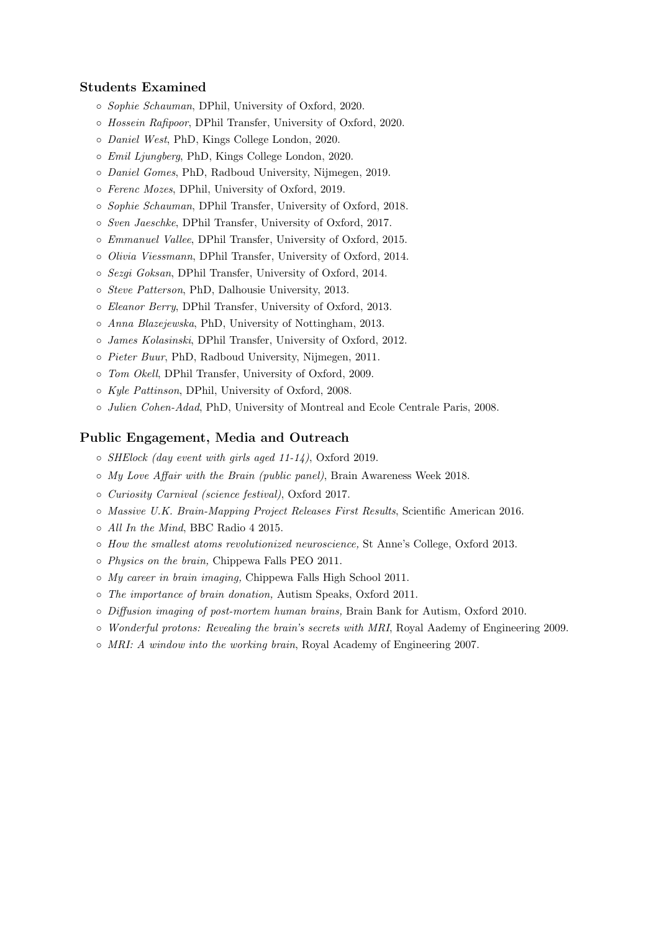#### Students Examined

- Sophie Schauman, DPhil, University of Oxford, 2020.
- Hossein Rafipoor, DPhil Transfer, University of Oxford, 2020.
- Daniel West, PhD, Kings College London, 2020.
- Emil Ljungberg, PhD, Kings College London, 2020.
- Daniel Gomes, PhD, Radboud University, Nijmegen, 2019.
- Ferenc Mozes, DPhil, University of Oxford, 2019.
- Sophie Schauman, DPhil Transfer, University of Oxford, 2018.
- Sven Jaeschke, DPhil Transfer, University of Oxford, 2017.
- Emmanuel Vallee, DPhil Transfer, University of Oxford, 2015.
- Olivia Viessmann, DPhil Transfer, University of Oxford, 2014.
- Sezgi Goksan, DPhil Transfer, University of Oxford, 2014.
- Steve Patterson, PhD, Dalhousie University, 2013.
- Eleanor Berry, DPhil Transfer, University of Oxford, 2013.
- Anna Blazejewska, PhD, University of Nottingham, 2013.
- James Kolasinski, DPhil Transfer, University of Oxford, 2012.
- Pieter Buur, PhD, Radboud University, Nijmegen, 2011.
- Tom Okell, DPhil Transfer, University of Oxford, 2009.
- Kyle Pattinson, DPhil, University of Oxford, 2008.
- Julien Cohen-Adad, PhD, University of Montreal and Ecole Centrale Paris, 2008.

#### Public Engagement, Media and Outreach

- $\circ$  SHElock (day event with girls aged 11-14), Oxford 2019.
- My Love Affair with the Brain (public panel), Brain Awareness Week 2018.
- Curiosity Carnival (science festival), Oxford 2017.
- Massive U.K. Brain-Mapping Project Releases First Results, Scientific American 2016.
- All In the Mind, BBC Radio 4 2015.
- How the smallest atoms revolutionized neuroscience, St Anne's College, Oxford 2013.
- Physics on the brain, Chippewa Falls PEO 2011.
- My career in brain imaging, Chippewa Falls High School 2011.
- The importance of brain donation, Autism Speaks, Oxford 2011.
- Diffusion imaging of post-mortem human brains, Brain Bank for Autism, Oxford 2010.
- Wonderful protons: Revealing the brain's secrets with MRI, Royal Aademy of Engineering 2009.
- MRI: A window into the working brain, Royal Academy of Engineering 2007.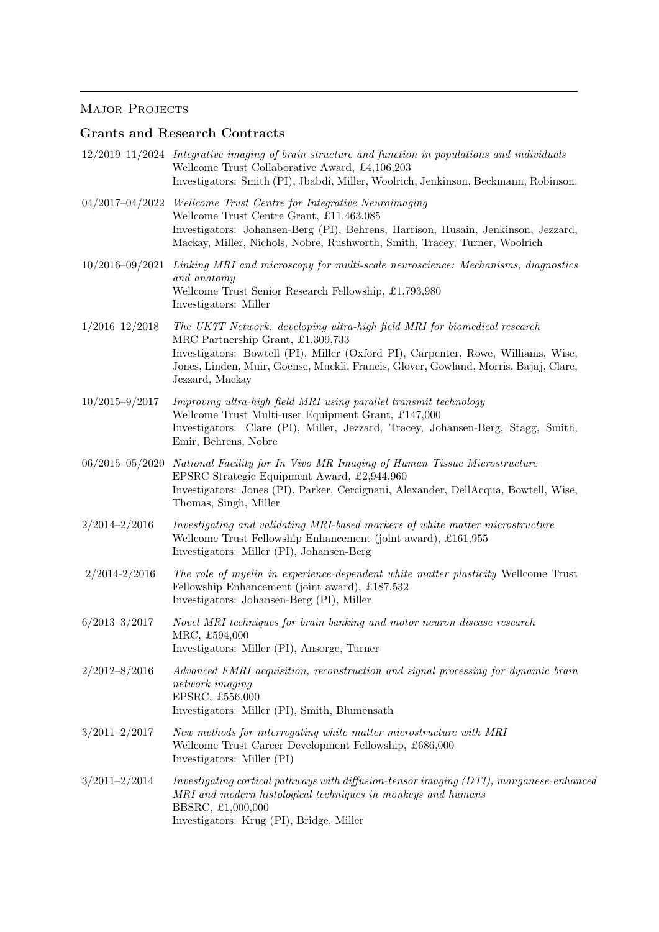# MAJOR PROJECTS

# Grants and Research Contracts

|                     | $12/2019-11/2024$ Integrative imaging of brain structure and function in populations and individuals<br>Wellcome Trust Collaborative Award, £4,106,203<br>Investigators: Smith (PI), Jbabdi, Miller, Woolrich, Jenkinson, Beckmann, Robinson.                                                                  |
|---------------------|----------------------------------------------------------------------------------------------------------------------------------------------------------------------------------------------------------------------------------------------------------------------------------------------------------------|
|                     | 04/2017-04/2022 Wellcome Trust Centre for Integrative Neuroimaging<br>Wellcome Trust Centre Grant, £11.463,085<br>Investigators: Johansen-Berg (PI), Behrens, Harrison, Husain, Jenkinson, Jezzard,<br>Mackay, Miller, Nichols, Nobre, Rushworth, Smith, Tracey, Turner, Woolrich                              |
| $10/2016 - 09/2021$ | Linking MRI and microscopy for multi-scale neuroscience: Mechanisms, diagnostics<br>and anatomy<br>Wellcome Trust Senior Research Fellowship, £1,793,980<br>Investigators: Miller                                                                                                                              |
| $1/2016 - 12/2018$  | The UK7T Network: developing ultra-high field MRI for biomedical research<br>MRC Partnership Grant, £1,309,733<br>Investigators: Bowtell (PI), Miller (Oxford PI), Carpenter, Rowe, Williams, Wise,<br>Jones, Linden, Muir, Goense, Muckli, Francis, Glover, Gowland, Morris, Bajaj, Clare,<br>Jezzard, Mackay |
| $10/2015 - 9/2017$  | Improving ultra-high field MRI using parallel transmit technology<br>Wellcome Trust Multi-user Equipment Grant, £147,000<br>Investigators: Clare (PI), Miller, Jezzard, Tracey, Johansen-Berg, Stagg, Smith,<br>Emir, Behrens, Nobre                                                                           |
|                     | 06/2015-05/2020 National Facility for In Vivo MR Imaging of Human Tissue Microstructure<br>EPSRC Strategic Equipment Award, £2,944,960<br>Investigators: Jones (PI), Parker, Cercignani, Alexander, DellAcqua, Bowtell, Wise,<br>Thomas, Singh, Miller                                                         |
| $2/2014 - 2/2016$   | Investigating and validating MRI-based markers of white matter microstructure<br>Wellcome Trust Fellowship Enhancement (joint award), £161,955<br>Investigators: Miller (PI), Johansen-Berg                                                                                                                    |
| $2/2014 - 2/2016$   | The role of myelin in experience-dependent white matter plasticity Wellcome Trust<br>Fellowship Enhancement (joint award), $£187,532$<br>Investigators: Johansen-Berg (PI), Miller                                                                                                                             |
| $6/2013 - 3/2017$   | Novel MRI techniques for brain banking and motor neuron disease research<br>MRC, £594,000<br>Investigators: Miller (PI), Ansorge, Turner                                                                                                                                                                       |
| $2/2012 - 8/2016$   | Advanced FMRI acquisition, reconstruction and signal processing for dynamic brain<br>network imaging<br>EPSRC, £556,000<br>Investigators: Miller (PI), Smith, Blumensath                                                                                                                                       |
| $3/2011 - 2/2017$   | New methods for interrogating white matter microstructure with MRI<br>Wellcome Trust Career Development Fellowship, £686,000<br>Investigators: Miller (PI)                                                                                                                                                     |
| $3/2011 - 2/2014$   | Investigating cortical pathways with diffusion-tensor imaging (DTI), manganese-enhanced<br>MRI and modern histological techniques in monkeys and humans<br>BBSRC, £1,000,000<br>Investigators: Krug (PI), Bridge, Miller                                                                                       |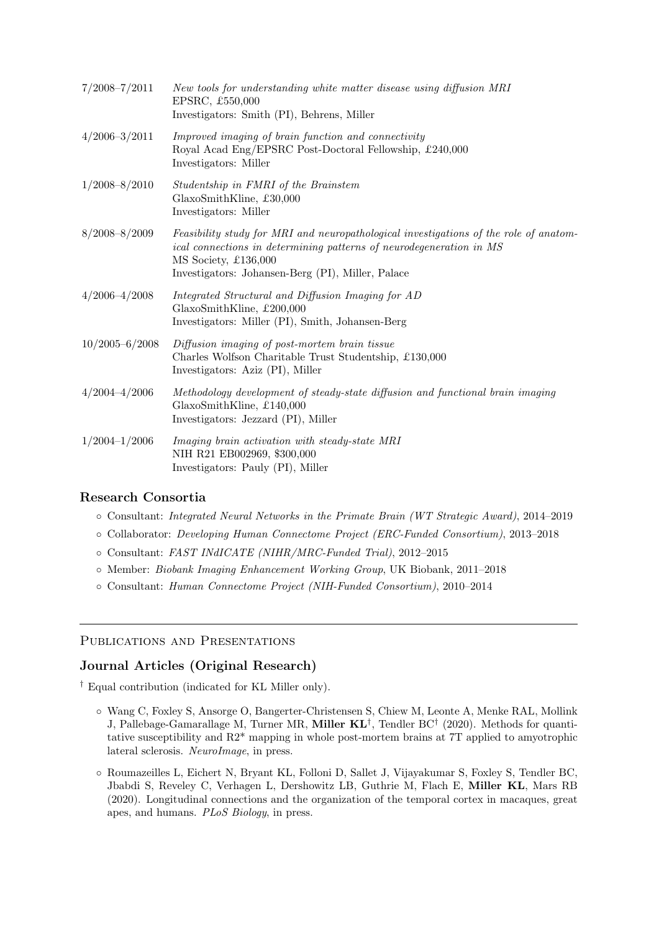| $7/2008 - 7/2011$  | New tools for understanding white matter disease using diffusion MRI<br>EPSRC, £550,000<br>Investigators: Smith (PI), Behrens, Miller                                                                                                     |
|--------------------|-------------------------------------------------------------------------------------------------------------------------------------------------------------------------------------------------------------------------------------------|
| $4/2006 - 3/2011$  | Improved imaging of brain function and connectivity<br>Royal Acad Eng/EPSRC Post-Doctoral Fellowship, £240,000<br>Investigators: Miller                                                                                                   |
| $1/2008 - 8/2010$  | Studentship in FMRI of the Brainstem<br>GlaxoSmithKline, £30,000<br>Investigators: Miller                                                                                                                                                 |
| $8/2008 - 8/2009$  | Feasibility study for MRI and neuropathological investigations of the role of anatom-<br>ical connections in determining patterns of neurodegeneration in MS<br>MS Society, £136,000<br>Investigators: Johansen-Berg (PI), Miller, Palace |
| $4/2006 - 4/2008$  | Integrated Structural and Diffusion Imaging for AD<br>GlaxoSmithKline, £200,000<br>Investigators: Miller (PI), Smith, Johansen-Berg                                                                                                       |
| $10/2005 - 6/2008$ | Diffusion imaging of post-mortem brain tissue<br>Charles Wolfson Charitable Trust Studentship, £130,000<br>Investigators: Aziz (PI), Miller                                                                                               |
| $4/2004 - 4/2006$  | Methodology development of steady-state diffusion and functional brain imaging<br>GlaxoSmithKline, £140,000<br>Investigators: Jezzard (PI), Miller                                                                                        |
| $1/2004 - 1/2006$  | Imaging brain activation with steady-state MRI<br>NIH R21 EB002969, \$300,000<br>Investigators: Pauly (PI), Miller                                                                                                                        |

### Research Consortia

- Consultant: Integrated Neural Networks in the Primate Brain (WT Strategic Award), 2014–2019
- Collaborator: Developing Human Connectome Project (ERC-Funded Consortium), 2013–2018
- Consultant: FAST INdICATE (NIHR/MRC-Funded Trial), 2012–2015
- Member: Biobank Imaging Enhancement Working Group, UK Biobank, 2011–2018
- Consultant: Human Connectome Project (NIH-Funded Consortium), 2010–2014

#### Publications and Presentations

## Journal Articles (Original Research)

† Equal contribution (indicated for KL Miller only).

- Wang C, Foxley S, Ansorge O, Bangerter-Christensen S, Chiew M, Leonte A, Menke RAL, Mollink J, Pallebage-Gamarallage M, Turner MR, Miller  $KL^{\dagger}$ , Tendler BC<sup>†</sup> (2020). Methods for quantitative susceptibility and R2\* mapping in whole post-mortem brains at 7T applied to amyotrophic lateral sclerosis. NeuroImage, in press.
- Roumazeilles L, Eichert N, Bryant KL, Folloni D, Sallet J, Vijayakumar S, Foxley S, Tendler BC, Jbabdi S, Reveley C, Verhagen L, Dershowitz LB, Guthrie M, Flach E, Miller KL, Mars RB (2020). Longitudinal connections and the organization of the temporal cortex in macaques, great apes, and humans. PLoS Biology, in press.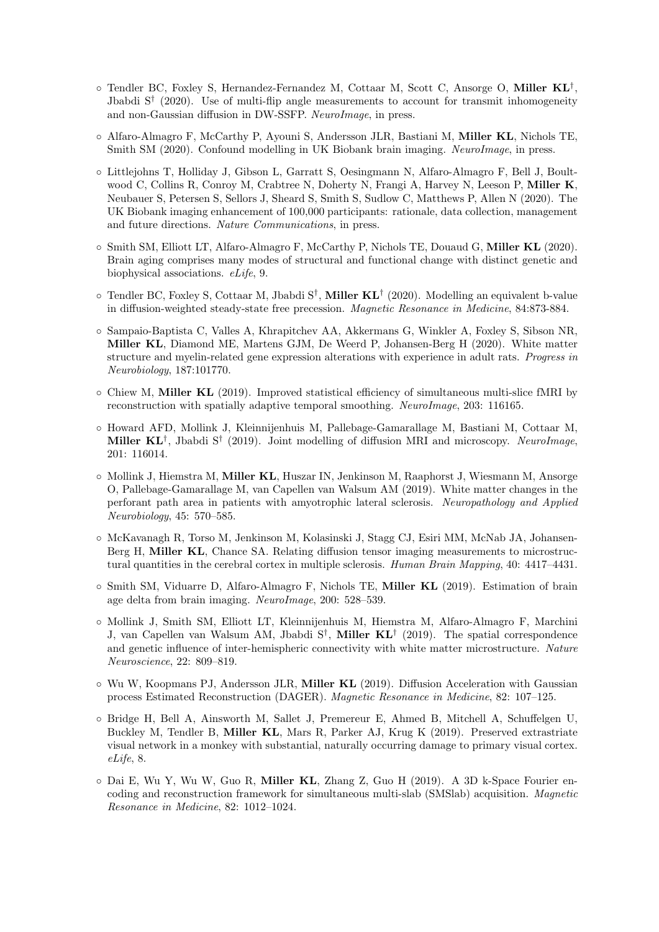- Tendler BC, Foxley S, Hernandez-Fernandez M, Cottaar M, Scott C, Ansorge O, Miller KL† , Jbabdi  $S^{\dagger}$  (2020). Use of multi-flip angle measurements to account for transmit inhomogeneity and non-Gaussian diffusion in DW-SSFP. NeuroImage, in press.
- Alfaro-Almagro F, McCarthy P, Ayouni S, Andersson JLR, Bastiani M, Miller KL, Nichols TE, Smith SM (2020). Confound modelling in UK Biobank brain imaging. NeuroImage, in press.
- Littlejohns T, Holliday J, Gibson L, Garratt S, Oesingmann N, Alfaro-Almagro F, Bell J, Boultwood C, Collins R, Conroy M, Crabtree N, Doherty N, Frangi A, Harvey N, Leeson P, Miller K, Neubauer S, Petersen S, Sellors J, Sheard S, Smith S, Sudlow C, Matthews P, Allen N (2020). The UK Biobank imaging enhancement of 100,000 participants: rationale, data collection, management and future directions. Nature Communications, in press.
- Smith SM, Elliott LT, Alfaro-Almagro F, McCarthy P, Nichols TE, Douaud G, Miller KL (2020). Brain aging comprises many modes of structural and functional change with distinct genetic and biophysical associations. eLife, 9.
- $\circ$  Tendler BC, Foxley S, Cottaar M, Jbabdi S<sup>†</sup>, Miller KL<sup>†</sup> (2020). Modelling an equivalent b-value in diffusion-weighted steady-state free precession. Magnetic Resonance in Medicine, 84:873-884.
- Sampaio-Baptista C, Valles A, Khrapitchev AA, Akkermans G, Winkler A, Foxley S, Sibson NR, Miller KL, Diamond ME, Martens GJM, De Weerd P, Johansen-Berg H (2020). White matter structure and myelin-related gene expression alterations with experience in adult rats. Progress in Neurobiology, 187:101770.
- Chiew M, Miller KL (2019). Improved statistical efficiency of simultaneous multi-slice fMRI by reconstruction with spatially adaptive temporal smoothing. NeuroImage, 203: 116165.
- Howard AFD, Mollink J, Kleinnijenhuis M, Pallebage-Gamarallage M, Bastiani M, Cottaar M, Miller  $KL^{\dagger}$ , Jbabdi S<sup>†</sup> (2019). Joint modelling of diffusion MRI and microscopy. NeuroImage, 201: 116014.
- Mollink J, Hiemstra M, Miller KL, Huszar IN, Jenkinson M, Raaphorst J, Wiesmann M, Ansorge O, Pallebage-Gamarallage M, van Capellen van Walsum AM (2019). White matter changes in the perforant path area in patients with amyotrophic lateral sclerosis. Neuropathology and Applied Neurobiology, 45: 570–585.
- McKavanagh R, Torso M, Jenkinson M, Kolasinski J, Stagg CJ, Esiri MM, McNab JA, Johansen-Berg H, Miller KL, Chance SA. Relating diffusion tensor imaging measurements to microstructural quantities in the cerebral cortex in multiple sclerosis. Human Brain Mapping, 40: 4417–4431.
- Smith SM, Viduarre D, Alfaro-Almagro F, Nichols TE, Miller KL (2019). Estimation of brain age delta from brain imaging. NeuroImage, 200: 528–539.
- Mollink J, Smith SM, Elliott LT, Kleinnijenhuis M, Hiemstra M, Alfaro-Almagro F, Marchini J, van Capellen van Walsum AM, Jbabdi S<sup>†</sup>, Miller KL<sup>†</sup> (2019). The spatial correspondence and genetic influence of inter-hemispheric connectivity with white matter microstructure. Nature Neuroscience, 22: 809–819.
- Wu W, Koopmans PJ, Andersson JLR, Miller KL (2019). Diffusion Acceleration with Gaussian process Estimated Reconstruction (DAGER). Magnetic Resonance in Medicine, 82: 107–125.
- Bridge H, Bell A, Ainsworth M, Sallet J, Premereur E, Ahmed B, Mitchell A, Schuffelgen U, Buckley M, Tendler B, Miller KL, Mars R, Parker AJ, Krug K (2019). Preserved extrastriate visual network in a monkey with substantial, naturally occurring damage to primary visual cortex. eLife, 8.
- Dai E, Wu Y, Wu W, Guo R, Miller KL, Zhang Z, Guo H (2019). A 3D k-Space Fourier encoding and reconstruction framework for simultaneous multi-slab (SMSlab) acquisition. Magnetic Resonance in Medicine, 82: 1012–1024.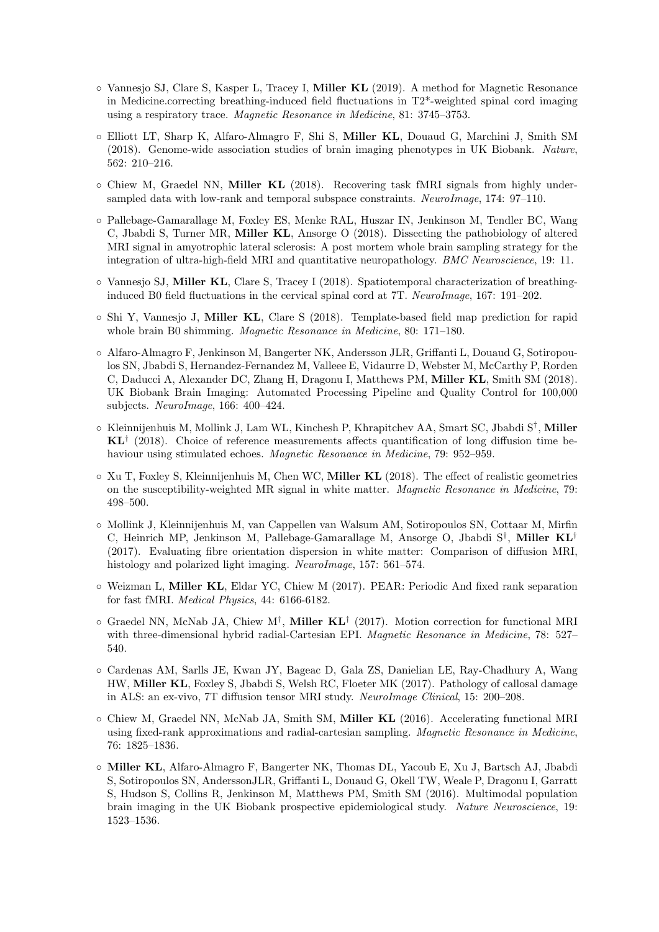- Vannesjo SJ, Clare S, Kasper L, Tracey I, Miller KL (2019). A method for Magnetic Resonance in Medicine.correcting breathing-induced field fluctuations in T2\*-weighted spinal cord imaging using a respiratory trace. Magnetic Resonance in Medicine, 81: 3745–3753.
- Elliott LT, Sharp K, Alfaro-Almagro F, Shi S, Miller KL, Douaud G, Marchini J, Smith SM (2018). Genome-wide association studies of brain imaging phenotypes in UK Biobank. Nature, 562: 210–216.
- Chiew M, Graedel NN, Miller KL (2018). Recovering task fMRI signals from highly undersampled data with low-rank and temporal subspace constraints. NeuroImage, 174: 97–110.
- Pallebage-Gamarallage M, Foxley ES, Menke RAL, Huszar IN, Jenkinson M, Tendler BC, Wang C, Jbabdi S, Turner MR, Miller KL, Ansorge O (2018). Dissecting the pathobiology of altered MRI signal in amyotrophic lateral sclerosis: A post mortem whole brain sampling strategy for the integration of ultra-high-field MRI and quantitative neuropathology. BMC Neuroscience, 19: 11.
- Vannesjo SJ, Miller KL, Clare S, Tracey I (2018). Spatiotemporal characterization of breathinginduced B0 field fluctuations in the cervical spinal cord at 7T. NeuroImage, 167: 191–202.
- Shi Y, Vannesjo J, Miller KL, Clare S (2018). Template-based field map prediction for rapid whole brain B0 shimming. Magnetic Resonance in Medicine, 80: 171–180.
- Alfaro-Almagro F, Jenkinson M, Bangerter NK, Andersson JLR, Griffanti L, Douaud G, Sotiropoulos SN, Jbabdi S, Hernandez-Fernandez M, Valleee E, Vidaurre D, Webster M, McCarthy P, Rorden C, Daducci A, Alexander DC, Zhang H, Dragonu I, Matthews PM, Miller KL, Smith SM (2018). UK Biobank Brain Imaging: Automated Processing Pipeline and Quality Control for 100,000 subjects. NeuroImage, 166: 400–424.
- Kleinnijenhuis M, Mollink J, Lam WL, Kinchesh P, Khrapitchev AA, Smart SC, Jbabdi S† , Miller  $KL^{\dagger}$  (2018). Choice of reference measurements affects quantification of long diffusion time behaviour using stimulated echoes. Magnetic Resonance in Medicine, 79: 952–959.
- Xu T, Foxley S, Kleinnijenhuis M, Chen WC, Miller KL (2018). The effect of realistic geometries on the susceptibility-weighted MR signal in white matter. Magnetic Resonance in Medicine, 79: 498–500.
- Mollink J, Kleinnijenhuis M, van Cappellen van Walsum AM, Sotiropoulos SN, Cottaar M, Mirfin C, Heinrich MP, Jenkinson M, Pallebage-Gamarallage M, Ansorge O, Jbabdi S<sup>†</sup>, Miller KL<sup>†</sup> (2017). Evaluating fibre orientation dispersion in white matter: Comparison of diffusion MRI, histology and polarized light imaging. *NeuroImage*, 157: 561–574.
- Weizman L, Miller KL, Eldar YC, Chiew M (2017). PEAR: Periodic And fixed rank separation for fast fMRI. Medical Physics, 44: 6166-6182.
- Graedel NN, McNab JA, Chiew M<sup>†</sup>, Miller KL<sup>†</sup> (2017). Motion correction for functional MRI with three-dimensional hybrid radial-Cartesian EPI. Magnetic Resonance in Medicine, 78: 527– 540.
- Cardenas AM, Sarlls JE, Kwan JY, Bageac D, Gala ZS, Danielian LE, Ray-Chadhury A, Wang HW, Miller KL, Foxley S, Jbabdi S, Welsh RC, Floeter MK (2017). Pathology of callosal damage in ALS: an ex-vivo, 7T diffusion tensor MRI study. NeuroImage Clinical, 15: 200–208.
- Chiew M, Graedel NN, McNab JA, Smith SM, Miller KL (2016). Accelerating functional MRI using fixed-rank approximations and radial-cartesian sampling. Magnetic Resonance in Medicine, 76: 1825–1836.
- Miller KL, Alfaro-Almagro F, Bangerter NK, Thomas DL, Yacoub E, Xu J, Bartsch AJ, Jbabdi S, Sotiropoulos SN, AnderssonJLR, Griffanti L, Douaud G, Okell TW, Weale P, Dragonu I, Garratt S, Hudson S, Collins R, Jenkinson M, Matthews PM, Smith SM (2016). Multimodal population brain imaging in the UK Biobank prospective epidemiological study. Nature Neuroscience, 19: 1523–1536.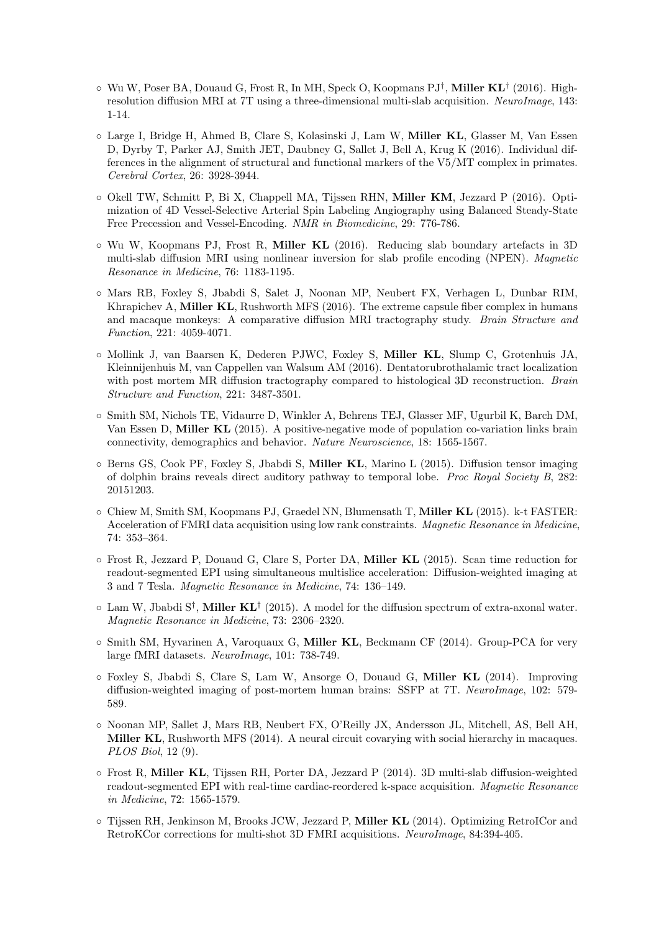- $\circ$  Wu W, Poser BA, Douaud G, Frost R, In MH, Speck O, Koopmans PJ<sup>†</sup>, Miller KL<sup>†</sup> (2016). Highresolution diffusion MRI at 7T using a three-dimensional multi-slab acquisition. NeuroImage, 143: 1-14.
- Large I, Bridge H, Ahmed B, Clare S, Kolasinski J, Lam W, Miller KL, Glasser M, Van Essen D, Dyrby T, Parker AJ, Smith JET, Daubney G, Sallet J, Bell A, Krug K (2016). Individual differences in the alignment of structural and functional markers of the V5/MT complex in primates. Cerebral Cortex, 26: 3928-3944.
- Okell TW, Schmitt P, Bi X, Chappell MA, Tijssen RHN, Miller KM, Jezzard P (2016). Optimization of 4D Vessel-Selective Arterial Spin Labeling Angiography using Balanced Steady-State Free Precession and Vessel-Encoding. NMR in Biomedicine, 29: 776-786.
- Wu W, Koopmans PJ, Frost R, Miller KL (2016). Reducing slab boundary artefacts in 3D multi-slab diffusion MRI using nonlinear inversion for slab profile encoding (NPEN). Magnetic Resonance in Medicine, 76: 1183-1195.
- Mars RB, Foxley S, Jbabdi S, Salet J, Noonan MP, Neubert FX, Verhagen L, Dunbar RIM, Khrapichev A, Miller KL, Rushworth MFS (2016). The extreme capsule fiber complex in humans and macaque monkeys: A comparative diffusion MRI tractography study. Brain Structure and Function, 221: 4059-4071.
- Mollink J, van Baarsen K, Dederen PJWC, Foxley S, Miller KL, Slump C, Grotenhuis JA, Kleinnijenhuis M, van Cappellen van Walsum AM (2016). Dentatorubrothalamic tract localization with post mortem MR diffusion tractography compared to histological 3D reconstruction. Brain Structure and Function, 221: 3487-3501.
- Smith SM, Nichols TE, Vidaurre D, Winkler A, Behrens TEJ, Glasser MF, Ugurbil K, Barch DM, Van Essen D, Miller KL (2015). A positive-negative mode of population co-variation links brain connectivity, demographics and behavior. Nature Neuroscience, 18: 1565-1567.
- Berns GS, Cook PF, Foxley S, Jbabdi S, Miller KL, Marino L (2015). Diffusion tensor imaging of dolphin brains reveals direct auditory pathway to temporal lobe. Proc Royal Society B, 282: 20151203.
- Chiew M, Smith SM, Koopmans PJ, Graedel NN, Blumensath T, Miller KL (2015). k-t FASTER: Acceleration of FMRI data acquisition using low rank constraints. Magnetic Resonance in Medicine, 74: 353–364.
- Frost R, Jezzard P, Douaud G, Clare S, Porter DA, Miller KL (2015). Scan time reduction for readout-segmented EPI using simultaneous multislice acceleration: Diffusion-weighted imaging at 3 and 7 Tesla. Magnetic Resonance in Medicine, 74: 136–149.
- $\circ$  Lam W, Jbabdi S<sup>†</sup>, Miller KL<sup>†</sup> (2015). A model for the diffusion spectrum of extra-axonal water. Magnetic Resonance in Medicine, 73: 2306–2320.
- Smith SM, Hyvarinen A, Varoquaux G, Miller KL, Beckmann CF (2014). Group-PCA for very large fMRI datasets. NeuroImage, 101: 738-749.
- Foxley S, Jbabdi S, Clare S, Lam W, Ansorge O, Douaud G, Miller KL (2014). Improving diffusion-weighted imaging of post-mortem human brains: SSFP at 7T. NeuroImage, 102: 579- 589.
- Noonan MP, Sallet J, Mars RB, Neubert FX, O'Reilly JX, Andersson JL, Mitchell, AS, Bell AH, Miller KL, Rushworth MFS (2014). A neural circuit covarying with social hierarchy in macaques. PLOS Biol, 12 (9).
- Frost R, Miller KL, Tijssen RH, Porter DA, Jezzard P (2014). 3D multi-slab diffusion-weighted readout-segmented EPI with real-time cardiac-reordered k-space acquisition. Magnetic Resonance in Medicine, 72: 1565-1579.
- Tijssen RH, Jenkinson M, Brooks JCW, Jezzard P, Miller KL (2014). Optimizing RetroICor and RetroKCor corrections for multi-shot 3D FMRI acquisitions. NeuroImage, 84:394-405.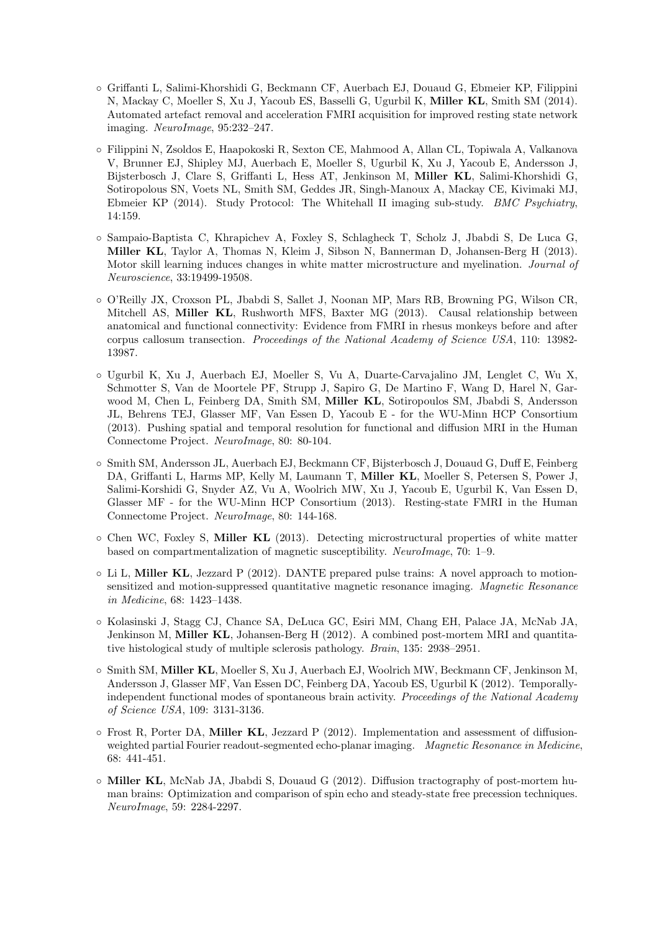- Griffanti L, Salimi-Khorshidi G, Beckmann CF, Auerbach EJ, Douaud G, Ebmeier KP, Filippini N, Mackay C, Moeller S, Xu J, Yacoub ES, Basselli G, Ugurbil K, Miller KL, Smith SM (2014). Automated artefact removal and acceleration FMRI acquisition for improved resting state network imaging. NeuroImage, 95:232–247.
- Filippini N, Zsoldos E, Haapokoski R, Sexton CE, Mahmood A, Allan CL, Topiwala A, Valkanova V, Brunner EJ, Shipley MJ, Auerbach E, Moeller S, Ugurbil K, Xu J, Yacoub E, Andersson J, Bijsterbosch J, Clare S, Griffanti L, Hess AT, Jenkinson M, Miller KL, Salimi-Khorshidi G, Sotiropolous SN, Voets NL, Smith SM, Geddes JR, Singh-Manoux A, Mackay CE, Kivimaki MJ, Ebmeier KP (2014). Study Protocol: The Whitehall II imaging sub-study. BMC Psychiatry, 14:159.
- Sampaio-Baptista C, Khrapichev A, Foxley S, Schlagheck T, Scholz J, Jbabdi S, De Luca G, Miller KL, Taylor A, Thomas N, Kleim J, Sibson N, Bannerman D, Johansen-Berg H (2013). Motor skill learning induces changes in white matter microstructure and myelination. Journal of Neuroscience, 33:19499-19508.
- O'Reilly JX, Croxson PL, Jbabdi S, Sallet J, Noonan MP, Mars RB, Browning PG, Wilson CR, Mitchell AS, Miller KL, Rushworth MFS, Baxter MG (2013). Causal relationship between anatomical and functional connectivity: Evidence from FMRI in rhesus monkeys before and after corpus callosum transection. Proceedings of the National Academy of Science USA, 110: 13982- 13987.
- Ugurbil K, Xu J, Auerbach EJ, Moeller S, Vu A, Duarte-Carvajalino JM, Lenglet C, Wu X, Schmotter S, Van de Moortele PF, Strupp J, Sapiro G, De Martino F, Wang D, Harel N, Garwood M, Chen L, Feinberg DA, Smith SM, Miller KL, Sotiropoulos SM, Jbabdi S, Andersson JL, Behrens TEJ, Glasser MF, Van Essen D, Yacoub E - for the WU-Minn HCP Consortium (2013). Pushing spatial and temporal resolution for functional and diffusion MRI in the Human Connectome Project. NeuroImage, 80: 80-104.
- Smith SM, Andersson JL, Auerbach EJ, Beckmann CF, Bijsterbosch J, Douaud G, Duff E, Feinberg DA, Griffanti L, Harms MP, Kelly M, Laumann T, Miller KL, Moeller S, Petersen S, Power J, Salimi-Korshidi G, Snyder AZ, Vu A, Woolrich MW, Xu J, Yacoub E, Ugurbil K, Van Essen D, Glasser MF - for the WU-Minn HCP Consortium (2013). Resting-state FMRI in the Human Connectome Project. NeuroImage, 80: 144-168.
- Chen WC, Foxley S, Miller KL (2013). Detecting microstructural properties of white matter based on compartmentalization of magnetic susceptibility. NeuroImage, 70: 1–9.
- Li L, Miller KL, Jezzard P (2012). DANTE prepared pulse trains: A novel approach to motionsensitized and motion-suppressed quantitative magnetic resonance imaging. Magnetic Resonance in Medicine, 68: 1423–1438.
- Kolasinski J, Stagg CJ, Chance SA, DeLuca GC, Esiri MM, Chang EH, Palace JA, McNab JA, Jenkinson M, Miller KL, Johansen-Berg H (2012). A combined post-mortem MRI and quantitative histological study of multiple sclerosis pathology. Brain, 135: 2938–2951.
- Smith SM, Miller KL, Moeller S, Xu J, Auerbach EJ, Woolrich MW, Beckmann CF, Jenkinson M, Andersson J, Glasser MF, Van Essen DC, Feinberg DA, Yacoub ES, Ugurbil K (2012). Temporallyindependent functional modes of spontaneous brain activity. Proceedings of the National Academy of Science USA, 109: 3131-3136.
- $\circ$  Frost R, Porter DA, Miller KL, Jezzard P (2012). Implementation and assessment of diffusionweighted partial Fourier readout-segmented echo-planar imaging. Magnetic Resonance in Medicine, 68: 441-451.
- Miller KL, McNab JA, Jbabdi S, Douaud G (2012). Diffusion tractography of post-mortem human brains: Optimization and comparison of spin echo and steady-state free precession techniques. NeuroImage, 59: 2284-2297.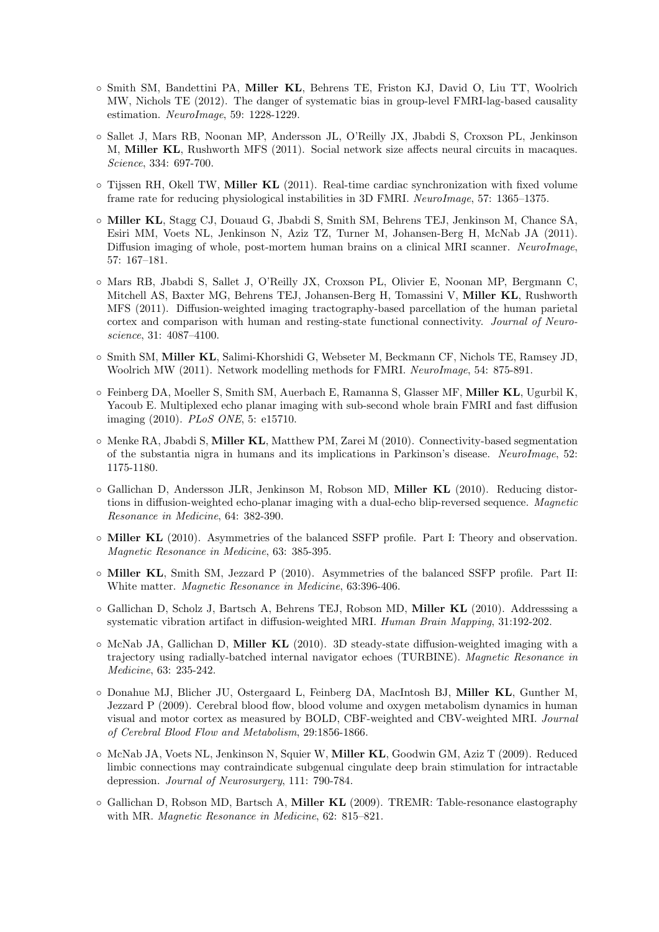- Smith SM, Bandettini PA, Miller KL, Behrens TE, Friston KJ, David O, Liu TT, Woolrich MW, Nichols TE (2012). The danger of systematic bias in group-level FMRI-lag-based causality estimation. NeuroImage, 59: 1228-1229.
- Sallet J, Mars RB, Noonan MP, Andersson JL, O'Reilly JX, Jbabdi S, Croxson PL, Jenkinson M, Miller KL, Rushworth MFS (2011). Social network size affects neural circuits in macaques. Science, 334: 697-700.
- $\circ$  Tijssen RH, Okell TW, Miller KL (2011). Real-time cardiac synchronization with fixed volume frame rate for reducing physiological instabilities in 3D FMRI. NeuroImage, 57: 1365–1375.
- Miller KL, Stagg CJ, Douaud G, Jbabdi S, Smith SM, Behrens TEJ, Jenkinson M, Chance SA, Esiri MM, Voets NL, Jenkinson N, Aziz TZ, Turner M, Johansen-Berg H, McNab JA (2011). Diffusion imaging of whole, post-mortem human brains on a clinical MRI scanner. NeuroImage, 57: 167–181.
- Mars RB, Jbabdi S, Sallet J, O'Reilly JX, Croxson PL, Olivier E, Noonan MP, Bergmann C, Mitchell AS, Baxter MG, Behrens TEJ, Johansen-Berg H, Tomassini V, Miller KL, Rushworth MFS (2011). Diffusion-weighted imaging tractography-based parcellation of the human parietal cortex and comparison with human and resting-state functional connectivity. Journal of Neuroscience, 31: 4087–4100.
- Smith SM, Miller KL, Salimi-Khorshidi G, Webseter M, Beckmann CF, Nichols TE, Ramsey JD, Woolrich MW (2011). Network modelling methods for FMRI. NeuroImage, 54: 875-891.
- Feinberg DA, Moeller S, Smith SM, Auerbach E, Ramanna S, Glasser MF, Miller KL, Ugurbil K, Yacoub E. Multiplexed echo planar imaging with sub-second whole brain FMRI and fast diffusion imaging (2010). PLoS ONE, 5: e15710.
- Menke RA, Jbabdi S, Miller KL, Matthew PM, Zarei M (2010). Connectivity-based segmentation of the substantia nigra in humans and its implications in Parkinson's disease. NeuroImage, 52: 1175-1180.
- Gallichan D, Andersson JLR, Jenkinson M, Robson MD, Miller KL (2010). Reducing distortions in diffusion-weighted echo-planar imaging with a dual-echo blip-reversed sequence. Magnetic Resonance in Medicine, 64: 382-390.
- Miller KL (2010). Asymmetries of the balanced SSFP profile. Part I: Theory and observation. Magnetic Resonance in Medicine, 63: 385-395.
- Miller KL, Smith SM, Jezzard P (2010). Asymmetries of the balanced SSFP profile. Part II: White matter. Magnetic Resonance in Medicine, 63:396-406.
- Gallichan D, Scholz J, Bartsch A, Behrens TEJ, Robson MD, Miller KL (2010). Addresssing a systematic vibration artifact in diffusion-weighted MRI. Human Brain Mapping, 31:192-202.
- McNab JA, Gallichan D, Miller KL (2010). 3D steady-state diffusion-weighted imaging with a trajectory using radially-batched internal navigator echoes (TURBINE). Magnetic Resonance in Medicine, 63: 235-242.
- Donahue MJ, Blicher JU, Ostergaard L, Feinberg DA, MacIntosh BJ, Miller KL, Gunther M, Jezzard P (2009). Cerebral blood flow, blood volume and oxygen metabolism dynamics in human visual and motor cortex as measured by BOLD, CBF-weighted and CBV-weighted MRI. Journal of Cerebral Blood Flow and Metabolism, 29:1856-1866.
- McNab JA, Voets NL, Jenkinson N, Squier W, Miller KL, Goodwin GM, Aziz T (2009). Reduced limbic connections may contraindicate subgenual cingulate deep brain stimulation for intractable depression. Journal of Neurosurgery, 111: 790-784.
- Gallichan D, Robson MD, Bartsch A, Miller KL (2009). TREMR: Table-resonance elastography with MR. Magnetic Resonance in Medicine, 62: 815–821.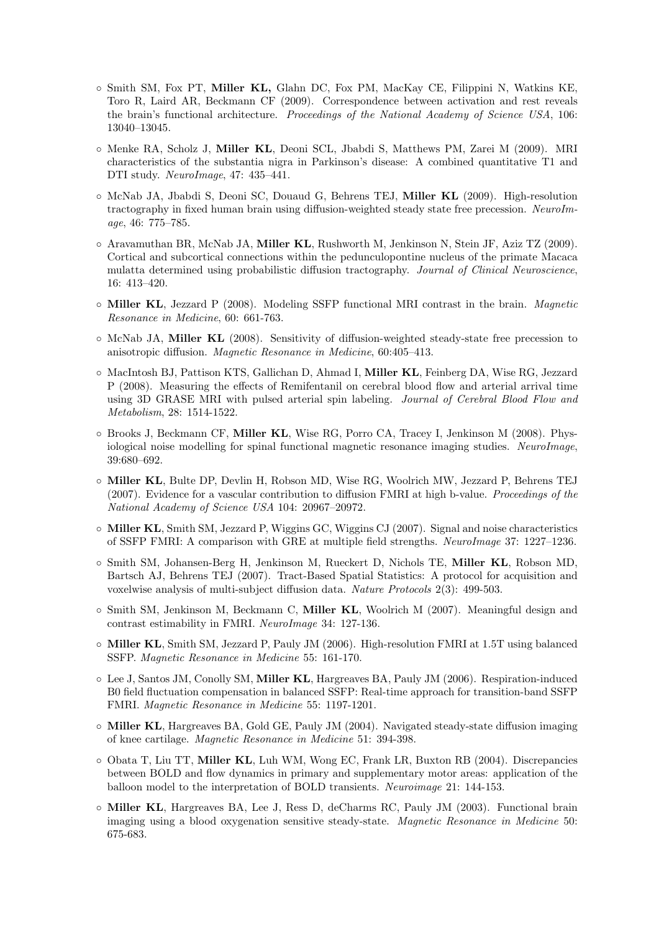- Smith SM, Fox PT, Miller KL, Glahn DC, Fox PM, MacKay CE, Filippini N, Watkins KE, Toro R, Laird AR, Beckmann CF (2009). Correspondence between activation and rest reveals the brain's functional architecture. Proceedings of the National Academy of Science USA, 106: 13040–13045.
- Menke RA, Scholz J, Miller KL, Deoni SCL, Jbabdi S, Matthews PM, Zarei M (2009). MRI characteristics of the substantia nigra in Parkinson's disease: A combined quantitative T1 and DTI study. *NeuroImage*, 47: 435–441.
- McNab JA, Jbabdi S, Deoni SC, Douaud G, Behrens TEJ, Miller KL (2009). High-resolution tractography in fixed human brain using diffusion-weighted steady state free precession. NeuroImage, 46: 775–785.
- Aravamuthan BR, McNab JA, Miller KL, Rushworth M, Jenkinson N, Stein JF, Aziz TZ (2009). Cortical and subcortical connections within the pedunculopontine nucleus of the primate Macaca mulatta determined using probabilistic diffusion tractography. Journal of Clinical Neuroscience, 16: 413–420.
- Miller KL, Jezzard P (2008). Modeling SSFP functional MRI contrast in the brain. Magnetic Resonance in Medicine, 60: 661-763.
- McNab JA, Miller KL (2008). Sensitivity of diffusion-weighted steady-state free precession to anisotropic diffusion. Magnetic Resonance in Medicine, 60:405–413.
- MacIntosh BJ, Pattison KTS, Gallichan D, Ahmad I, Miller KL, Feinberg DA, Wise RG, Jezzard P (2008). Measuring the effects of Remifentanil on cerebral blood flow and arterial arrival time using 3D GRASE MRI with pulsed arterial spin labeling. Journal of Cerebral Blood Flow and Metabolism, 28: 1514-1522.
- Brooks J, Beckmann CF, Miller KL, Wise RG, Porro CA, Tracey I, Jenkinson M (2008). Physiological noise modelling for spinal functional magnetic resonance imaging studies. NeuroImage, 39:680–692.
- Miller KL, Bulte DP, Devlin H, Robson MD, Wise RG, Woolrich MW, Jezzard P, Behrens TEJ (2007). Evidence for a vascular contribution to diffusion FMRI at high b-value. Proceedings of the National Academy of Science USA 104: 20967–20972.
- Miller KL, Smith SM, Jezzard P, Wiggins GC, Wiggins CJ (2007). Signal and noise characteristics of SSFP FMRI: A comparison with GRE at multiple field strengths. NeuroImage 37: 1227–1236.
- Smith SM, Johansen-Berg H, Jenkinson M, Rueckert D, Nichols TE, Miller KL, Robson MD, Bartsch AJ, Behrens TEJ (2007). Tract-Based Spatial Statistics: A protocol for acquisition and voxelwise analysis of multi-subject diffusion data. Nature Protocols 2(3): 499-503.
- Smith SM, Jenkinson M, Beckmann C, Miller KL, Woolrich M (2007). Meaningful design and contrast estimability in FMRI. NeuroImage 34: 127-136.
- Miller KL, Smith SM, Jezzard P, Pauly JM (2006). High-resolution FMRI at 1.5T using balanced SSFP. Magnetic Resonance in Medicine 55: 161-170.
- Lee J, Santos JM, Conolly SM, Miller KL, Hargreaves BA, Pauly JM (2006). Respiration-induced B0 field fluctuation compensation in balanced SSFP: Real-time approach for transition-band SSFP FMRI. Magnetic Resonance in Medicine 55: 1197-1201.
- Miller KL, Hargreaves BA, Gold GE, Pauly JM (2004). Navigated steady-state diffusion imaging of knee cartilage. Magnetic Resonance in Medicine 51: 394-398.
- Obata T, Liu TT, Miller KL, Luh WM, Wong EC, Frank LR, Buxton RB (2004). Discrepancies between BOLD and flow dynamics in primary and supplementary motor areas: application of the balloon model to the interpretation of BOLD transients. Neuroimage 21: 144-153.
- Miller KL, Hargreaves BA, Lee J, Ress D, deCharms RC, Pauly JM (2003). Functional brain imaging using a blood oxygenation sensitive steady-state. Magnetic Resonance in Medicine 50: 675-683.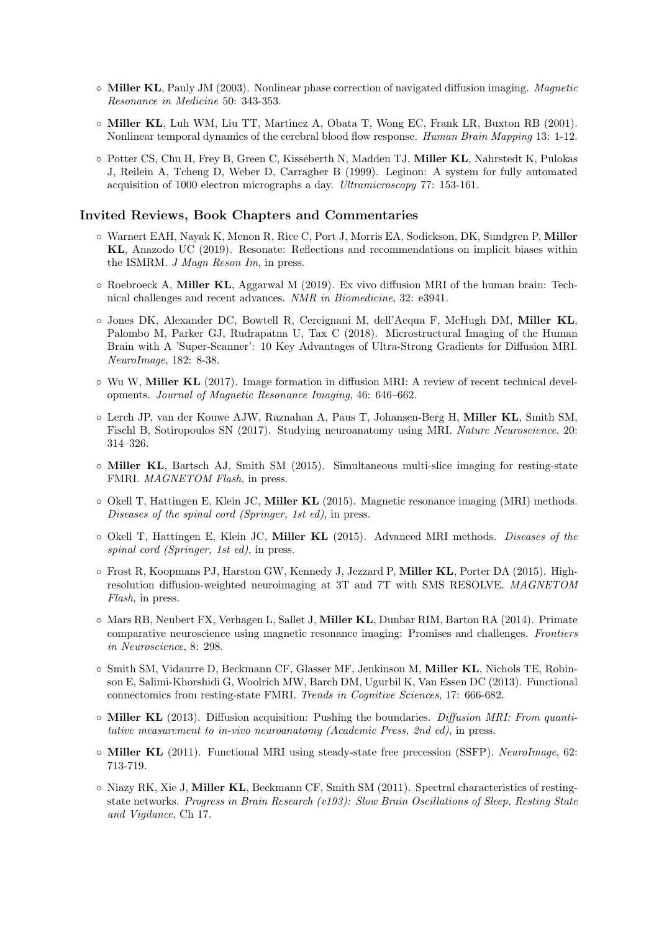- Miller KL, Pauly JM (2003). Nonlinear phase correction of navigated diffusion imaging. Magnetic Resonance in Medicine 50: 343-353.
- Miller KL, Luh WM, Liu TT, Martinez A, Obata T, Wong EC, Frank LR, Buxton RB (2001). Nonlinear temporal dynamics of the cerebral blood flow response. Human Brain Mapping 13: 1-12.
- Potter CS, Chu H, Frey B, Green C, Kisseberth N, Madden TJ, Miller KL, Nahrstedt K, Pulokas J, Reilein A, Tcheng D, Weber D, Carragher B (1999). Leginon: A system for fully automated acquisition of 1000 electron micrographs a day. Ultramicroscopy 77: 153-161.

#### Invited Reviews, Book Chapters and Commentaries

- Warnert EAH, Nayak K, Menon R, Rice C, Port J, Morris EA, Sodickson, DK, Sundgren P, Miller KL, Anazodo UC (2019). Resonate: Reflections and recommendations on implicit biases within the ISMRM. J Magn Reson Im, in press.
- Roebroeck A, Miller KL, Aggarwal M (2019). Ex vivo diffusion MRI of the human brain: Technical challenges and recent advances. NMR in Biomedicine, 32: e3941.
- Jones DK, Alexander DC, Bowtell R, Cercignani M, dell'Acqua F, McHugh DM, Miller KL, Palombo M, Parker GJ, Rudrapatna U, Tax C (2018). Microstructural Imaging of the Human Brain with A 'Super-Scanner': 10 Key Advantages of Ultra-Strong Gradients for Diffusion MRI. NeuroImage, 182: 8-38.
- Wu W, Miller KL (2017). Image formation in diffusion MRI: A review of recent technical developments. Journal of Magnetic Resonance Imaging, 46: 646–662.
- Lerch JP, van der Kouwe AJW, Raznahan A, Paus T, Johansen-Berg H, Miller KL, Smith SM, Fischl B, Sotiropoulos SN (2017). Studying neuroanatomy using MRI. Nature Neuroscience, 20: 314–326.
- Miller KL, Bartsch AJ, Smith SM (2015). Simultaneous multi-slice imaging for resting-state FMRI. MAGNETOM Flash, in press.
- Okell T, Hattingen E, Klein JC, Miller KL (2015). Magnetic resonance imaging (MRI) methods. Diseases of the spinal cord (Springer, 1st ed), in press.
- Okell T, Hattingen E, Klein JC, Miller KL (2015). Advanced MRI methods. Diseases of the spinal cord (Springer, 1st ed), in press.
- Frost R, Koopmans PJ, Harston GW, Kennedy J, Jezzard P, Miller KL, Porter DA (2015). Highresolution diffusion-weighted neuroimaging at 3T and 7T with SMS RESOLVE. MAGNETOM Flash, in press.
- Mars RB, Neubert FX, Verhagen L, Sallet J, Miller KL, Dunbar RIM, Barton RA (2014). Primate comparative neuroscience using magnetic resonance imaging: Promises and challenges. Frontiers in Neuroscience, 8: 298.
- Smith SM, Vidaurre D, Beckmann CF, Glasser MF, Jenkinson M, Miller KL, Nichols TE, Robinson E, Salimi-Khorshidi G, Woolrich MW, Barch DM, Ugurbil K, Van Essen DC (2013). Functional connectomics from resting-state FMRI. Trends in Cognitive Sciences, 17: 666-682.
- $\circ$  Miller KL (2013). Diffusion acquisition: Pushing the boundaries. Diffusion MRI: From quantitative measurement to in-vivo neuroanatomy (Academic Press, 2nd ed), in press.
- Miller KL (2011). Functional MRI using steady-state free precession (SSFP). NeuroImage, 62: 713-719.
- Niazy RK, Xie J, Miller KL, Beckmann CF, Smith SM (2011). Spectral characteristics of restingstate networks. Progress in Brain Research (v193): Slow Brain Oscillations of Sleep, Resting State and Vigilance, Ch 17.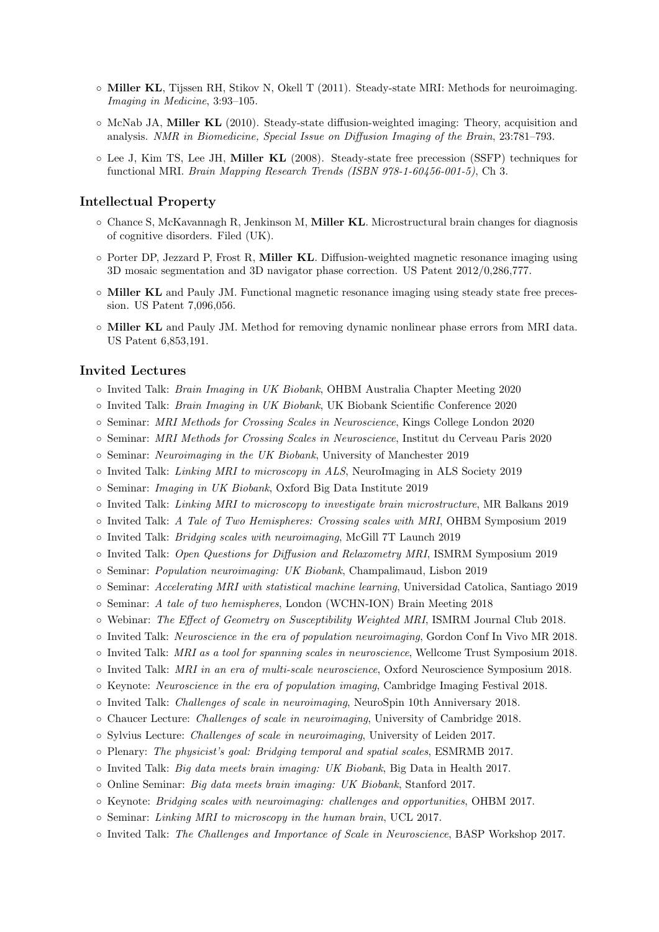- Miller KL, Tijssen RH, Stikov N, Okell T (2011). Steady-state MRI: Methods for neuroimaging. Imaging in Medicine, 3:93–105.
- McNab JA, Miller KL (2010). Steady-state diffusion-weighted imaging: Theory, acquisition and analysis. NMR in Biomedicine, Special Issue on Diffusion Imaging of the Brain, 23:781–793.
- Lee J, Kim TS, Lee JH, Miller KL (2008). Steady-state free precession (SSFP) techniques for functional MRI. Brain Mapping Research Trends (ISBN 978-1-60456-001-5), Ch 3.

#### Intellectual Property

- Chance S, McKavannagh R, Jenkinson M, Miller KL. Microstructural brain changes for diagnosis of cognitive disorders. Filed (UK).
- Porter DP, Jezzard P, Frost R, Miller KL. Diffusion-weighted magnetic resonance imaging using 3D mosaic segmentation and 3D navigator phase correction. US Patent 2012/0,286,777.
- Miller KL and Pauly JM. Functional magnetic resonance imaging using steady state free precession. US Patent 7,096,056.
- Miller KL and Pauly JM. Method for removing dynamic nonlinear phase errors from MRI data. US Patent 6,853,191.

## Invited Lectures

- Invited Talk: Brain Imaging in UK Biobank, OHBM Australia Chapter Meeting 2020
- Invited Talk: Brain Imaging in UK Biobank, UK Biobank Scientific Conference 2020
- Seminar: MRI Methods for Crossing Scales in Neuroscience, Kings College London 2020
- Seminar: MRI Methods for Crossing Scales in Neuroscience, Institut du Cerveau Paris 2020
- Seminar: Neuroimaging in the UK Biobank, University of Manchester 2019
- Invited Talk: Linking MRI to microscopy in ALS, NeuroImaging in ALS Society 2019
- Seminar: Imaging in UK Biobank, Oxford Big Data Institute 2019
- Invited Talk: Linking MRI to microscopy to investigate brain microstructure, MR Balkans 2019
- Invited Talk: A Tale of Two Hemispheres: Crossing scales with MRI, OHBM Symposium 2019
- Invited Talk: Bridging scales with neuroimaging, McGill 7T Launch 2019
- Invited Talk: Open Questions for Diffusion and Relaxometry MRI, ISMRM Symposium 2019
- Seminar: Population neuroimaging: UK Biobank, Champalimaud, Lisbon 2019
- Seminar: Accelerating MRI with statistical machine learning, Universidad Catolica, Santiago 2019
- Seminar: A tale of two hemispheres, London (WCHN-ION) Brain Meeting 2018
- Webinar: The Effect of Geometry on Susceptibility Weighted MRI, ISMRM Journal Club 2018.
- Invited Talk: Neuroscience in the era of population neuroimaging, Gordon Conf In Vivo MR 2018.
- Invited Talk: MRI as a tool for spanning scales in neuroscience, Wellcome Trust Symposium 2018.
- Invited Talk: MRI in an era of multi-scale neuroscience, Oxford Neuroscience Symposium 2018.
- Keynote: Neuroscience in the era of population imaging, Cambridge Imaging Festival 2018.
- Invited Talk: Challenges of scale in neuroimaging, NeuroSpin 10th Anniversary 2018.
- Chaucer Lecture: Challenges of scale in neuroimaging, University of Cambridge 2018.
- Sylvius Lecture: Challenges of scale in neuroimaging, University of Leiden 2017.
- Plenary: The physicist's goal: Bridging temporal and spatial scales, ESMRMB 2017.
- Invited Talk: Big data meets brain imaging: UK Biobank, Big Data in Health 2017.
- Online Seminar: Big data meets brain imaging: UK Biobank, Stanford 2017.
- Keynote: Bridging scales with neuroimaging: challenges and opportunities, OHBM 2017.
- Seminar: Linking MRI to microscopy in the human brain, UCL 2017.
- Invited Talk: The Challenges and Importance of Scale in Neuroscience, BASP Workshop 2017.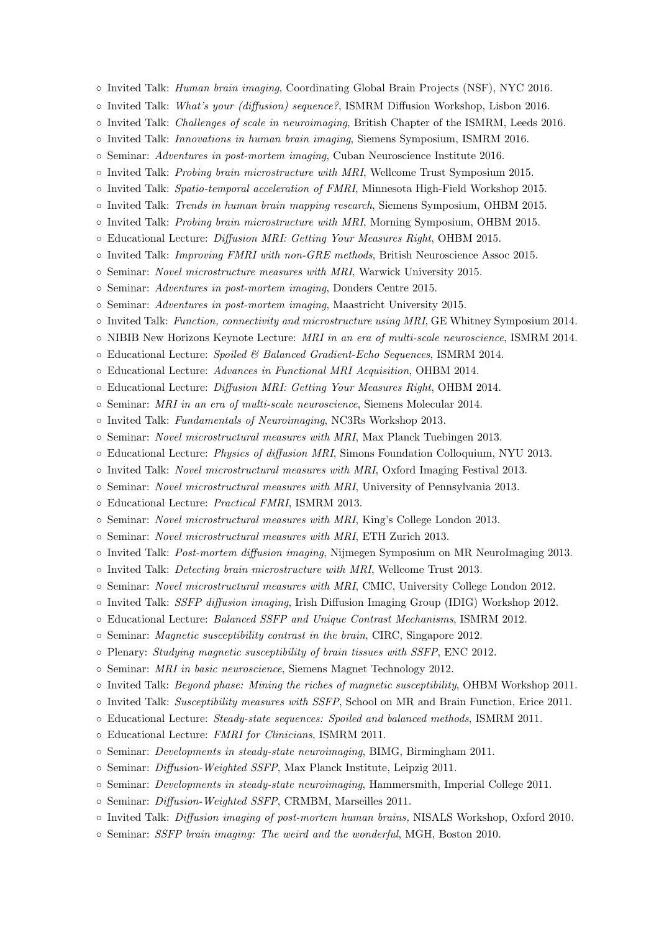- Invited Talk: Human brain imaging, Coordinating Global Brain Projects (NSF), NYC 2016.
- Invited Talk: What's your (diffusion) sequence?, ISMRM Diffusion Workshop, Lisbon 2016.
- Invited Talk: Challenges of scale in neuroimaging, British Chapter of the ISMRM, Leeds 2016.
- Invited Talk: Innovations in human brain imaging, Siemens Symposium, ISMRM 2016.
- Seminar: Adventures in post-mortem imaging, Cuban Neuroscience Institute 2016.
- Invited Talk: Probing brain microstructure with MRI, Wellcome Trust Symposium 2015.
- Invited Talk: Spatio-temporal acceleration of FMRI, Minnesota High-Field Workshop 2015.
- Invited Talk: Trends in human brain mapping research, Siemens Symposium, OHBM 2015.
- Invited Talk: Probing brain microstructure with MRI, Morning Symposium, OHBM 2015.
- Educational Lecture: Diffusion MRI: Getting Your Measures Right, OHBM 2015.
- Invited Talk: Improving FMRI with non-GRE methods, British Neuroscience Assoc 2015.
- Seminar: Novel microstructure measures with MRI, Warwick University 2015.
- Seminar: Adventures in post-mortem imaging, Donders Centre 2015.
- Seminar: Adventures in post-mortem imaging, Maastricht University 2015.
- Invited Talk: Function, connectivity and microstructure using MRI, GE Whitney Symposium 2014.
- NIBIB New Horizons Keynote Lecture: MRI in an era of multi-scale neuroscience, ISMRM 2014.
- Educational Lecture: Spoiled & Balanced Gradient-Echo Sequences, ISMRM 2014.
- Educational Lecture: Advances in Functional MRI Acquisition, OHBM 2014.
- Educational Lecture: Diffusion MRI: Getting Your Measures Right, OHBM 2014.
- Seminar: MRI in an era of multi-scale neuroscience, Siemens Molecular 2014.
- Invited Talk: Fundamentals of Neuroimaging, NC3Rs Workshop 2013.
- Seminar: Novel microstructural measures with MRI, Max Planck Tuebingen 2013.
- Educational Lecture: Physics of diffusion MRI, Simons Foundation Colloquium, NYU 2013.
- Invited Talk: Novel microstructural measures with MRI, Oxford Imaging Festival 2013.
- Seminar: Novel microstructural measures with MRI, University of Pennsylvania 2013.
- Educational Lecture: Practical FMRI, ISMRM 2013.
- Seminar: Novel microstructural measures with MRI, King's College London 2013.
- Seminar: Novel microstructural measures with MRI, ETH Zurich 2013.
- Invited Talk: Post-mortem diffusion imaging, Nijmegen Symposium on MR NeuroImaging 2013.
- Invited Talk: Detecting brain microstructure with MRI, Wellcome Trust 2013.
- Seminar: Novel microstructural measures with MRI, CMIC, University College London 2012.
- Invited Talk: SSFP diffusion imaging, Irish Diffusion Imaging Group (IDIG) Workshop 2012.
- Educational Lecture: Balanced SSFP and Unique Contrast Mechanisms, ISMRM 2012.
- Seminar: Magnetic susceptibility contrast in the brain, CIRC, Singapore 2012.
- Plenary: Studying magnetic susceptibility of brain tissues with SSFP, ENC 2012.
- Seminar: MRI in basic neuroscience, Siemens Magnet Technology 2012.
- Invited Talk: Beyond phase: Mining the riches of magnetic susceptibility, OHBM Workshop 2011.
- Invited Talk: Susceptibility measures with SSFP, School on MR and Brain Function, Erice 2011.
- Educational Lecture: Steady-state sequences: Spoiled and balanced methods, ISMRM 2011.
- Educational Lecture: FMRI for Clinicians, ISMRM 2011.
- Seminar: Developments in steady-state neuroimaging, BIMG, Birmingham 2011.
- Seminar: Diffusion-Weighted SSFP, Max Planck Institute, Leipzig 2011.
- Seminar: Developments in steady-state neuroimaging, Hammersmith, Imperial College 2011.
- Seminar: Diffusion-Weighted SSFP, CRMBM, Marseilles 2011.
- Invited Talk: Diffusion imaging of post-mortem human brains, NISALS Workshop, Oxford 2010.
- Seminar: SSFP brain imaging: The weird and the wonderful, MGH, Boston 2010.